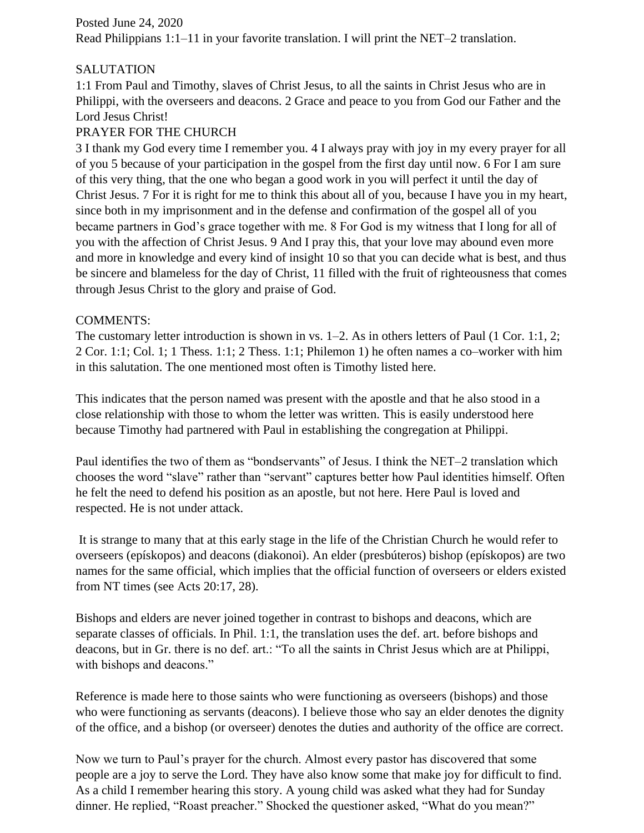Posted June 24, 2020 Read Philippians 1:1–11 in your favorite translation. I will print the NET–2 translation.

## SALUTATION

1:1 From Paul and Timothy, slaves of Christ Jesus, to all the saints in Christ Jesus who are in Philippi, with the overseers and deacons. 2 Grace and peace to you from God our Father and the Lord Jesus Christ!

## PRAYER FOR THE CHURCH

3 I thank my God every time I remember you. 4 I always pray with joy in my every prayer for all of you 5 because of your participation in the gospel from the first day until now. 6 For I am sure of this very thing, that the one who began a good work in you will perfect it until the day of Christ Jesus. 7 For it is right for me to think this about all of you, because I have you in my heart, since both in my imprisonment and in the defense and confirmation of the gospel all of you became partners in God's grace together with me. 8 For God is my witness that I long for all of you with the affection of Christ Jesus. 9 And I pray this, that your love may abound even more and more in knowledge and every kind of insight 10 so that you can decide what is best, and thus be sincere and blameless for the day of Christ, 11 filled with the fruit of righteousness that comes through Jesus Christ to the glory and praise of God.

## COMMENTS:

The customary letter introduction is shown in vs.  $1-2$ . As in others letters of Paul (1 Cor. 1:1, 2; 2 Cor. 1:1; Col. 1; 1 Thess. 1:1; 2 Thess. 1:1; Philemon 1) he often names a co–worker with him in this salutation. The one mentioned most often is Timothy listed here.

This indicates that the person named was present with the apostle and that he also stood in a close relationship with those to whom the letter was written. This is easily understood here because Timothy had partnered with Paul in establishing the congregation at Philippi.

Paul identifies the two of them as "bondservants" of Jesus. I think the NET–2 translation which chooses the word "slave" rather than "servant" captures better how Paul identities himself. Often he felt the need to defend his position as an apostle, but not here. Here Paul is loved and respected. He is not under attack.

It is strange to many that at this early stage in the life of the Christian Church he would refer to overseers (epískopos) and deacons (diakonoi). An elder (presbúteros) bishop (epískopos) are two names for the same official, which implies that the official function of overseers or elders existed from NT times (see Acts 20:17, 28).

Bishops and elders are never joined together in contrast to bishops and deacons, which are separate classes of officials. In Phil. 1:1, the translation uses the def. art. before bishops and deacons, but in Gr. there is no def. art.: "To all the saints in Christ Jesus which are at Philippi, with bishops and deacons."

Reference is made here to those saints who were functioning as overseers (bishops) and those who were functioning as servants (deacons). I believe those who say an elder denotes the dignity of the office, and a bishop (or overseer) denotes the duties and authority of the office are correct.

Now we turn to Paul's prayer for the church. Almost every pastor has discovered that some people are a joy to serve the Lord. They have also know some that make joy for difficult to find. As a child I remember hearing this story. A young child was asked what they had for Sunday dinner. He replied, "Roast preacher." Shocked the questioner asked, "What do you mean?"